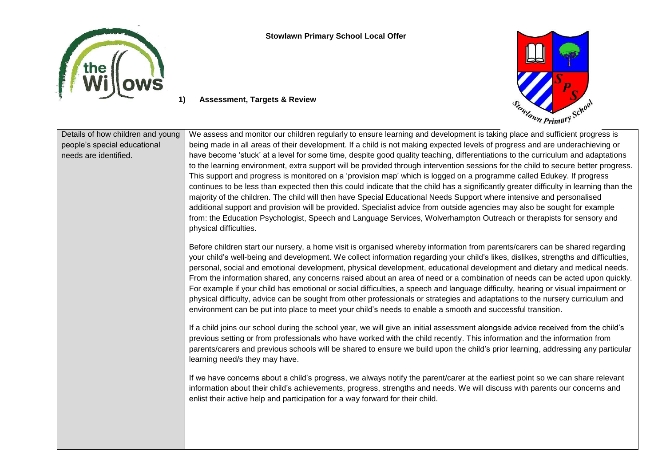

**Stowlawn Primary School Local Offer**



## Details of how children and young people's special educational needs are identified. We assess and monitor our children regularly to ensure learning and development is taking place and sufficient progress is being made in all areas of their development. If a child is not making expected levels of progress and are underachieving or have become 'stuck' at a level for some time, despite good quality teaching, differentiations to the curriculum and adaptations to the learning environment, extra support will be provided through intervention sessions for the child to secure better progress. This support and progress is monitored on a 'provision map' which is logged on a programme called Edukey. If progress continues to be less than expected then this could indicate that the child has a significantly greater difficulty in learning than the majority of the children. The child will then have Special Educational Needs Support where intensive and personalised additional support and provision will be provided. Specialist advice from outside agencies may also be sought for example from: the Education Psychologist, Speech and Language Services, Wolverhampton Outreach or therapists for sensory and physical difficulties. Before children start our nursery, a home visit is organised whereby information from parents/carers can be shared regarding your child's well-being and development. We collect information regarding your child's likes, dislikes, strengths and difficulties, personal, social and emotional development, physical development, educational development and dietary and medical needs. From the information shared, any concerns raised about an area of need or a combination of needs can be acted upon quickly. For example if your child has emotional or social difficulties, a speech and language difficulty, hearing or visual impairment or physical difficulty, advice can be sought from other professionals or strategies and adaptations to the nursery curriculum and environment can be put into place to meet your child's needs to enable a smooth and successful transition. If a child joins our school during the school year, we will give an initial assessment alongside advice received from the child's previous setting or from professionals who have worked with the child recently. This information and the information from parents/carers and previous schools will be shared to ensure we build upon the child's prior learning, addressing any particular learning need/s they may have. If we have concerns about a child's progress, we always notify the parent/carer at the earliest point so we can share relevant information about their child's achievements, progress, strengths and needs. We will discuss with parents our concerns and enlist their active help and participation for a way forward for their child.

**1) Assessment, Targets & Review**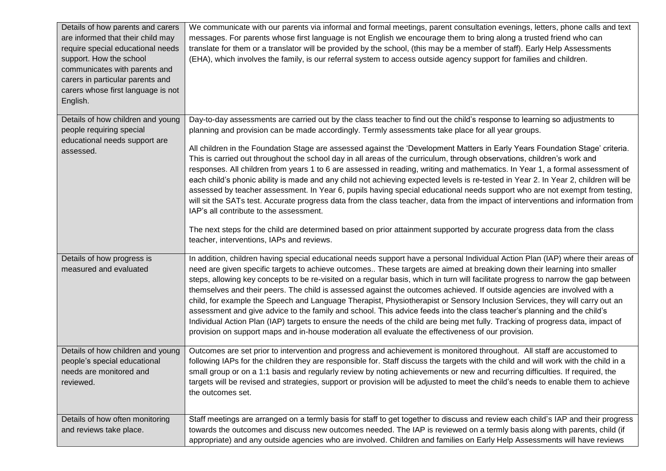| Details of how parents and carers<br>are informed that their child may<br>require special educational needs<br>support. How the school<br>communicates with parents and<br>carers in particular parents and<br>carers whose first language is not<br>English. | We communicate with our parents via informal and formal meetings, parent consultation evenings, letters, phone calls and text<br>messages. For parents whose first language is not English we encourage them to bring along a trusted friend who can<br>translate for them or a translator will be provided by the school, (this may be a member of staff). Early Help Assessments<br>(EHA), which involves the family, is our referral system to access outside agency support for families and children.                                                                                                                                                                                                                                                                                                                                                                                                                                                                                                                         |
|---------------------------------------------------------------------------------------------------------------------------------------------------------------------------------------------------------------------------------------------------------------|------------------------------------------------------------------------------------------------------------------------------------------------------------------------------------------------------------------------------------------------------------------------------------------------------------------------------------------------------------------------------------------------------------------------------------------------------------------------------------------------------------------------------------------------------------------------------------------------------------------------------------------------------------------------------------------------------------------------------------------------------------------------------------------------------------------------------------------------------------------------------------------------------------------------------------------------------------------------------------------------------------------------------------|
| Details of how children and young                                                                                                                                                                                                                             | Day-to-day assessments are carried out by the class teacher to find out the child's response to learning so adjustments to                                                                                                                                                                                                                                                                                                                                                                                                                                                                                                                                                                                                                                                                                                                                                                                                                                                                                                         |
| people requiring special<br>educational needs support are                                                                                                                                                                                                     | planning and provision can be made accordingly. Termly assessments take place for all year groups.                                                                                                                                                                                                                                                                                                                                                                                                                                                                                                                                                                                                                                                                                                                                                                                                                                                                                                                                 |
| assessed.                                                                                                                                                                                                                                                     | All children in the Foundation Stage are assessed against the 'Development Matters in Early Years Foundation Stage' criteria.<br>This is carried out throughout the school day in all areas of the curriculum, through observations, children's work and<br>responses. All children from years 1 to 6 are assessed in reading, writing and mathematics. In Year 1, a formal assessment of<br>each child's phonic ability is made and any child not achieving expected levels is re-tested in Year 2. In Year 2, children will be<br>assessed by teacher assessment. In Year 6, pupils having special educational needs support who are not exempt from testing,<br>will sit the SATs test. Accurate progress data from the class teacher, data from the impact of interventions and information from<br>IAP's all contribute to the assessment.                                                                                                                                                                                    |
|                                                                                                                                                                                                                                                               | The next steps for the child are determined based on prior attainment supported by accurate progress data from the class<br>teacher, interventions, IAPs and reviews.                                                                                                                                                                                                                                                                                                                                                                                                                                                                                                                                                                                                                                                                                                                                                                                                                                                              |
| Details of how progress is<br>measured and evaluated                                                                                                                                                                                                          | In addition, children having special educational needs support have a personal Individual Action Plan (IAP) where their areas of<br>need are given specific targets to achieve outcomes These targets are aimed at breaking down their learning into smaller<br>steps, allowing key concepts to be re-visited on a regular basis, which in turn will facilitate progress to narrow the gap between<br>themselves and their peers. The child is assessed against the outcomes achieved. If outside agencies are involved with a<br>child, for example the Speech and Language Therapist, Physiotherapist or Sensory Inclusion Services, they will carry out an<br>assessment and give advice to the family and school. This advice feeds into the class teacher's planning and the child's<br>Individual Action Plan (IAP) targets to ensure the needs of the child are being met fully. Tracking of progress data, impact of<br>provision on support maps and in-house moderation all evaluate the effectiveness of our provision. |
| Details of how children and young<br>people's special educational<br>needs are monitored and<br>reviewed.                                                                                                                                                     | Outcomes are set prior to intervention and progress and achievement is monitored throughout. All staff are accustomed to<br>following IAPs for the children they are responsible for. Staff discuss the targets with the child and will work with the child in a<br>small group or on a 1:1 basis and regularly review by noting achievements or new and recurring difficulties. If required, the<br>targets will be revised and strategies, support or provision will be adjusted to meet the child's needs to enable them to achieve<br>the outcomes set.                                                                                                                                                                                                                                                                                                                                                                                                                                                                        |
| Details of how often monitoring                                                                                                                                                                                                                               | Staff meetings are arranged on a termly basis for staff to get together to discuss and review each child's IAP and their progress                                                                                                                                                                                                                                                                                                                                                                                                                                                                                                                                                                                                                                                                                                                                                                                                                                                                                                  |
| and reviews take place.                                                                                                                                                                                                                                       | towards the outcomes and discuss new outcomes needed. The IAP is reviewed on a termly basis along with parents, child (if<br>appropriate) and any outside agencies who are involved. Children and families on Early Help Assessments will have reviews                                                                                                                                                                                                                                                                                                                                                                                                                                                                                                                                                                                                                                                                                                                                                                             |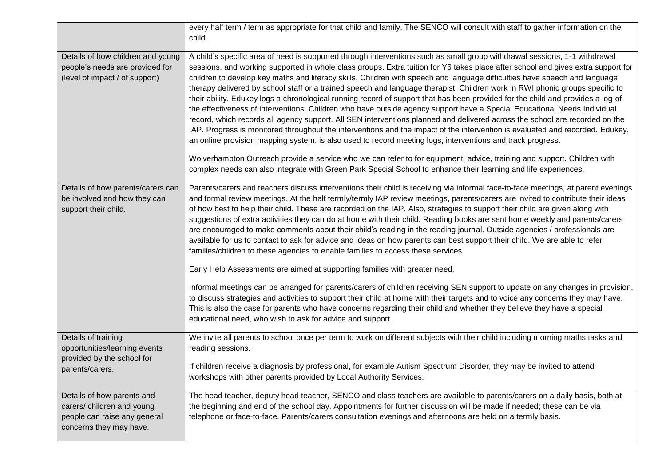|                                                                                                                     | every half term / term as appropriate for that child and family. The SENCO will consult with staff to gather information on the<br>child.                                                                                                                                                                                                                                                                                                                                                                                                                                                                                                                                                                                                                                                                                                                                                                                                                                                                                                                                                                                                                                                                                                                                                                                                                                                                               |
|---------------------------------------------------------------------------------------------------------------------|-------------------------------------------------------------------------------------------------------------------------------------------------------------------------------------------------------------------------------------------------------------------------------------------------------------------------------------------------------------------------------------------------------------------------------------------------------------------------------------------------------------------------------------------------------------------------------------------------------------------------------------------------------------------------------------------------------------------------------------------------------------------------------------------------------------------------------------------------------------------------------------------------------------------------------------------------------------------------------------------------------------------------------------------------------------------------------------------------------------------------------------------------------------------------------------------------------------------------------------------------------------------------------------------------------------------------------------------------------------------------------------------------------------------------|
| Details of how children and young<br>people's needs are provided for<br>(level of impact / of support)              | A child's specific area of need is supported through interventions such as small group withdrawal sessions, 1-1 withdrawal<br>sessions, and working supported in whole class groups. Extra tuition for Y6 takes place after school and gives extra support for<br>children to develop key maths and literacy skills. Children with speech and language difficulties have speech and language<br>therapy delivered by school staff or a trained speech and language therapist. Children work in RWI phonic groups specific to<br>their ability. Edukey logs a chronological running record of support that has been provided for the child and provides a log of<br>the effectiveness of interventions. Children who have outside agency support have a Special Educational Needs Individual<br>record, which records all agency support. All SEN interventions planned and delivered across the school are recorded on the<br>IAP. Progress is monitored throughout the interventions and the impact of the intervention is evaluated and recorded. Edukey,<br>an online provision mapping system, is also used to record meeting logs, interventions and track progress.<br>Wolverhampton Outreach provide a service who we can refer to for equipment, advice, training and support. Children with<br>complex needs can also integrate with Green Park Special School to enhance their learning and life experiences. |
| Details of how parents/carers can<br>be involved and how they can<br>support their child.                           | Parents/carers and teachers discuss interventions their child is receiving via informal face-to-face meetings, at parent evenings<br>and formal review meetings. At the half termly/termly IAP review meetings, parents/carers are invited to contribute their ideas<br>of how best to help their child. These are recorded on the IAP. Also, strategies to support their child are given along with<br>suggestions of extra activities they can do at home with their child. Reading books are sent home weekly and parents/carers<br>are encouraged to make comments about their child's reading in the reading journal. Outside agencies / professionals are<br>available for us to contact to ask for advice and ideas on how parents can best support their child. We are able to refer<br>families/children to these agencies to enable families to access these services.<br>Early Help Assessments are aimed at supporting families with greater need.                                                                                                                                                                                                                                                                                                                                                                                                                                                          |
|                                                                                                                     | Informal meetings can be arranged for parents/carers of children receiving SEN support to update on any changes in provision,<br>to discuss strategies and activities to support their child at home with their targets and to voice any concerns they may have.<br>This is also the case for parents who have concerns regarding their child and whether they believe they have a special<br>educational need, who wish to ask for advice and support.                                                                                                                                                                                                                                                                                                                                                                                                                                                                                                                                                                                                                                                                                                                                                                                                                                                                                                                                                                 |
| Details of training<br>opportunities/learning events<br>provided by the school for<br>parents/carers.               | We invite all parents to school once per term to work on different subjects with their child including morning maths tasks and<br>reading sessions.<br>If children receive a diagnosis by professional, for example Autism Spectrum Disorder, they may be invited to attend<br>workshops with other parents provided by Local Authority Services.                                                                                                                                                                                                                                                                                                                                                                                                                                                                                                                                                                                                                                                                                                                                                                                                                                                                                                                                                                                                                                                                       |
| Details of how parents and<br>carers/ children and young<br>people can raise any general<br>concerns they may have. | The head teacher, deputy head teacher, SENCO and class teachers are available to parents/carers on a daily basis, both at<br>the beginning and end of the school day. Appointments for further discussion will be made if needed; these can be via<br>telephone or face-to-face. Parents/carers consultation evenings and afternoons are held on a termly basis.                                                                                                                                                                                                                                                                                                                                                                                                                                                                                                                                                                                                                                                                                                                                                                                                                                                                                                                                                                                                                                                        |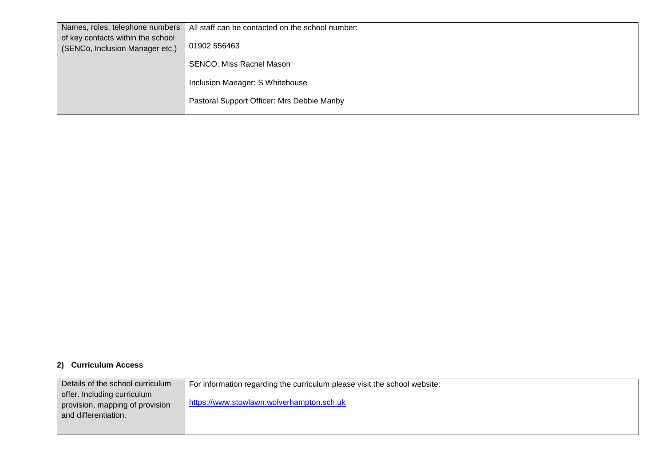| Names, roles, telephone numbers                                      | All staff can be contacted on the school number: |
|----------------------------------------------------------------------|--------------------------------------------------|
| of key contacts within the school<br>(SENCo, Inclusion Manager etc.) | 01902 556463                                     |
|                                                                      | <b>SENCO: Miss Rachel Mason</b>                  |
|                                                                      | Inclusion Manager: S Whitehouse                  |
|                                                                      |                                                  |
|                                                                      | Pastoral Support Officer: Mrs Debbie Manby       |

## **2) Curriculum Access**

| Details of the school curriculum | For information regarding the curriculum please visit the school website: |
|----------------------------------|---------------------------------------------------------------------------|
| offer. Including curriculum      |                                                                           |
| provision, mapping of provision  | https://www.stowlawn.wolverhampton.sch.uk                                 |
| and differentiation.             |                                                                           |
|                                  |                                                                           |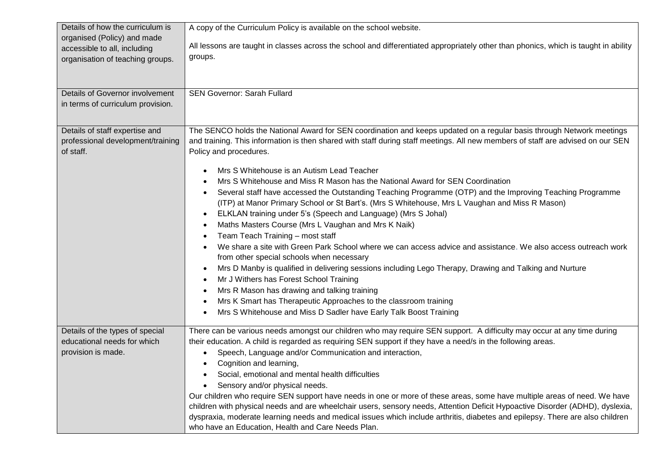| Details of how the curriculum is  | A copy of the Curriculum Policy is available on the school website.                                                                                         |
|-----------------------------------|-------------------------------------------------------------------------------------------------------------------------------------------------------------|
| organised (Policy) and made       |                                                                                                                                                             |
| accessible to all, including      | All lessons are taught in classes across the school and differentiated appropriately other than phonics, which is taught in ability                         |
| organisation of teaching groups.  | groups.                                                                                                                                                     |
|                                   |                                                                                                                                                             |
|                                   |                                                                                                                                                             |
| Details of Governor involvement   | <b>SEN Governor: Sarah Fullard</b>                                                                                                                          |
| in terms of curriculum provision. |                                                                                                                                                             |
|                                   |                                                                                                                                                             |
| Details of staff expertise and    | The SENCO holds the National Award for SEN coordination and keeps updated on a regular basis through Network meetings                                       |
| professional development/training | and training. This information is then shared with staff during staff meetings. All new members of staff are advised on our SEN                             |
| of staff.                         | Policy and procedures.                                                                                                                                      |
|                                   |                                                                                                                                                             |
|                                   | Mrs S Whitehouse is an Autism Lead Teacher                                                                                                                  |
|                                   | Mrs S Whitehouse and Miss R Mason has the National Award for SEN Coordination                                                                               |
|                                   | Several staff have accessed the Outstanding Teaching Programme (OTP) and the Improving Teaching Programme<br>$\bullet$                                      |
|                                   | (ITP) at Manor Primary School or St Bart's. (Mrs S Whitehouse, Mrs L Vaughan and Miss R Mason)                                                              |
|                                   | ELKLAN training under 5's (Speech and Language) (Mrs S Johal)<br>$\bullet$                                                                                  |
|                                   | Maths Masters Course (Mrs L Vaughan and Mrs K Naik)                                                                                                         |
|                                   | Team Teach Training - most staff                                                                                                                            |
|                                   | We share a site with Green Park School where we can access advice and assistance. We also access outreach work<br>from other special schools when necessary |
|                                   | Mrs D Manby is qualified in delivering sessions including Lego Therapy, Drawing and Talking and Nurture<br>$\bullet$                                        |
|                                   | Mr J Withers has Forest School Training                                                                                                                     |
|                                   | Mrs R Mason has drawing and talking training                                                                                                                |
|                                   | Mrs K Smart has Therapeutic Approaches to the classroom training                                                                                            |
|                                   | Mrs S Whitehouse and Miss D Sadler have Early Talk Boost Training                                                                                           |
|                                   |                                                                                                                                                             |
| Details of the types of special   | There can be various needs amongst our children who may require SEN support. A difficulty may occur at any time during                                      |
| educational needs for which       | their education. A child is regarded as requiring SEN support if they have a need/s in the following areas.                                                 |
| provision is made.                | Speech, Language and/or Communication and interaction,                                                                                                      |
|                                   | Cognition and learning,                                                                                                                                     |
|                                   | Social, emotional and mental health difficulties                                                                                                            |
|                                   | Sensory and/or physical needs.                                                                                                                              |
|                                   | Our children who require SEN support have needs in one or more of these areas, some have multiple areas of need. We have                                    |
|                                   | children with physical needs and are wheelchair users, sensory needs, Attention Deficit Hypoactive Disorder (ADHD), dyslexia,                               |
|                                   | dyspraxia, moderate learning needs and medical issues which include arthritis, diabetes and epilepsy. There are also children                               |
|                                   | who have an Education, Health and Care Needs Plan.                                                                                                          |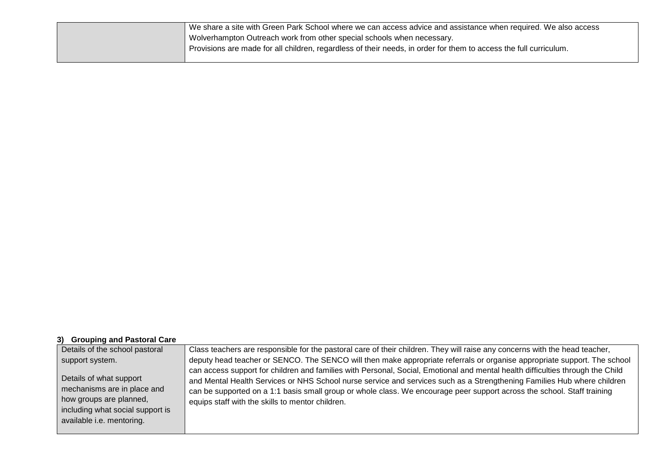| We share a site with Green Park School where we can access advice and assistance when required. We also access    |
|-------------------------------------------------------------------------------------------------------------------|
| Wolverhampton Outreach work from other special schools when necessary.                                            |
| Provisions are made for all children, regardless of their needs, in order for them to access the full curriculum. |
|                                                                                                                   |

## **3) Grouping and Pastoral Care**

| Details of the school pastoral                                                                                                                     | Class teachers are responsible for the pastoral care of their children. They will raise any concerns with the head teacher,                                                                                                                                                                                                                                                                                                              |
|----------------------------------------------------------------------------------------------------------------------------------------------------|------------------------------------------------------------------------------------------------------------------------------------------------------------------------------------------------------------------------------------------------------------------------------------------------------------------------------------------------------------------------------------------------------------------------------------------|
| support system.                                                                                                                                    | deputy head teacher or SENCO. The SENCO will then make appropriate referrals or organise appropriate support. The school                                                                                                                                                                                                                                                                                                                 |
| Details of what support<br>mechanisms are in place and<br>how groups are planned,<br>including what social support is<br>available i.e. mentoring. | can access support for children and families with Personal, Social, Emotional and mental health difficulties through the Child<br>and Mental Health Services or NHS School nurse service and services such as a Strengthening Families Hub where children<br>can be supported on a 1:1 basis small group or whole class. We encourage peer support across the school. Staff training<br>equips staff with the skills to mentor children. |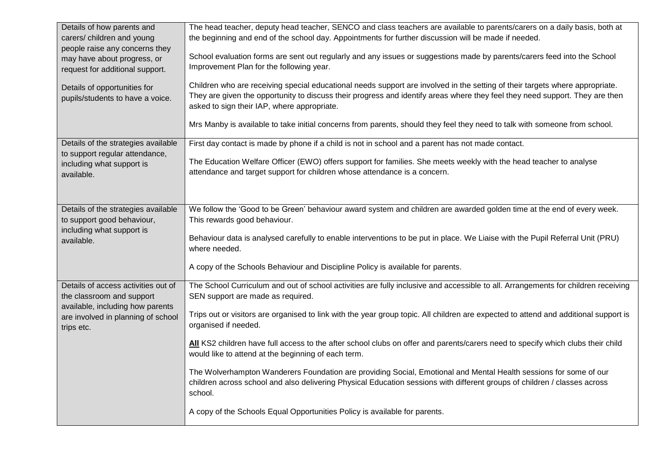| Details of how parents and                                  | The head teacher, deputy head teacher, SENCO and class teachers are available to parents/carers on a daily basis, both at                                            |
|-------------------------------------------------------------|----------------------------------------------------------------------------------------------------------------------------------------------------------------------|
| carers/ children and young                                  | the beginning and end of the school day. Appointments for further discussion will be made if needed.                                                                 |
| people raise any concerns they                              |                                                                                                                                                                      |
| may have about progress, or                                 | School evaluation forms are sent out regularly and any issues or suggestions made by parents/carers feed into the School<br>Improvement Plan for the following year. |
| request for additional support.                             |                                                                                                                                                                      |
| Details of opportunities for                                | Children who are receiving special educational needs support are involved in the setting of their targets where appropriate.                                         |
| pupils/students to have a voice.                            | They are given the opportunity to discuss their progress and identify areas where they feel they need support. They are then                                         |
|                                                             | asked to sign their IAP, where appropriate.                                                                                                                          |
|                                                             | Mrs Manby is available to take initial concerns from parents, should they feel they need to talk with someone from school.                                           |
|                                                             |                                                                                                                                                                      |
| Details of the strategies available                         | First day contact is made by phone if a child is not in school and a parent has not made contact.                                                                    |
| to support regular attendance,<br>including what support is | The Education Welfare Officer (EWO) offers support for families. She meets weekly with the head teacher to analyse                                                   |
| available.                                                  | attendance and target support for children whose attendance is a concern.                                                                                            |
|                                                             |                                                                                                                                                                      |
|                                                             |                                                                                                                                                                      |
| Details of the strategies available                         | We follow the 'Good to be Green' behaviour award system and children are awarded golden time at the end of every week.                                               |
| to support good behaviour,                                  | This rewards good behaviour.                                                                                                                                         |
| including what support is                                   | Behaviour data is analysed carefully to enable interventions to be put in place. We Liaise with the Pupil Referral Unit (PRU)                                        |
| available.                                                  | where needed.                                                                                                                                                        |
|                                                             |                                                                                                                                                                      |
|                                                             | A copy of the Schools Behaviour and Discipline Policy is available for parents.                                                                                      |
| Details of access activities out of                         | The School Curriculum and out of school activities are fully inclusive and accessible to all. Arrangements for children receiving                                    |
| the classroom and support                                   | SEN support are made as required.                                                                                                                                    |
| available, including how parents                            | Trips out or visitors are organised to link with the year group topic. All children are expected to attend and additional support is                                 |
| are involved in planning of school<br>trips etc.            | organised if needed.                                                                                                                                                 |
|                                                             | All KS2 children have full access to the after school clubs on offer and parents/carers need to specify which clubs their child                                      |
|                                                             | would like to attend at the beginning of each term.                                                                                                                  |
|                                                             |                                                                                                                                                                      |
|                                                             | The Wolverhampton Wanderers Foundation are providing Social, Emotional and Mental Health sessions for some of our                                                    |
|                                                             | children across school and also delivering Physical Education sessions with different groups of children / classes across<br>school.                                 |
|                                                             |                                                                                                                                                                      |
|                                                             | A copy of the Schools Equal Opportunities Policy is available for parents.                                                                                           |
|                                                             |                                                                                                                                                                      |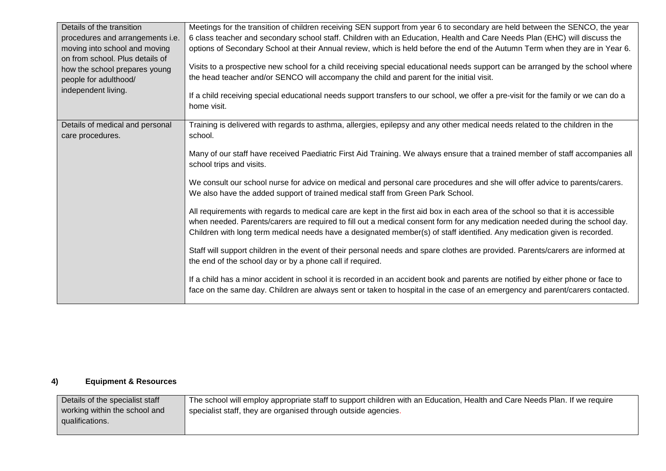| Details of the transition<br>procedures and arrangements i.e.<br>moving into school and moving<br>on from school. Plus details of<br>how the school prepares young<br>people for adulthood/<br>independent living. | Meetings for the transition of children receiving SEN support from year 6 to secondary are held between the SENCO, the year<br>6 class teacher and secondary school staff. Children with an Education, Health and Care Needs Plan (EHC) will discuss the<br>options of Secondary School at their Annual review, which is held before the end of the Autumn Term when they are in Year 6.<br>Visits to a prospective new school for a child receiving special educational needs support can be arranged by the school where<br>the head teacher and/or SENCO will accompany the child and parent for the initial visit.<br>If a child receiving special educational needs support transfers to our school, we offer a pre-visit for the family or we can do a<br>home visit. |
|--------------------------------------------------------------------------------------------------------------------------------------------------------------------------------------------------------------------|-----------------------------------------------------------------------------------------------------------------------------------------------------------------------------------------------------------------------------------------------------------------------------------------------------------------------------------------------------------------------------------------------------------------------------------------------------------------------------------------------------------------------------------------------------------------------------------------------------------------------------------------------------------------------------------------------------------------------------------------------------------------------------|
| Details of medical and personal<br>care procedures.                                                                                                                                                                | Training is delivered with regards to asthma, allergies, epilepsy and any other medical needs related to the children in the<br>school.<br>Many of our staff have received Paediatric First Aid Training. We always ensure that a trained member of staff accompanies all<br>school trips and visits.                                                                                                                                                                                                                                                                                                                                                                                                                                                                       |
|                                                                                                                                                                                                                    | We consult our school nurse for advice on medical and personal care procedures and she will offer advice to parents/carers.<br>We also have the added support of trained medical staff from Green Park School.<br>All requirements with regards to medical care are kept in the first aid box in each area of the school so that it is accessible<br>when needed. Parents/carers are required to fill out a medical consent form for any medication needed during the school day.                                                                                                                                                                                                                                                                                           |
|                                                                                                                                                                                                                    | Children with long term medical needs have a designated member(s) of staff identified. Any medication given is recorded.<br>Staff will support children in the event of their personal needs and spare clothes are provided. Parents/carers are informed at<br>the end of the school day or by a phone call if required.<br>If a child has a minor accident in school it is recorded in an accident book and parents are notified by either phone or face to                                                                                                                                                                                                                                                                                                                |
|                                                                                                                                                                                                                    | face on the same day. Children are always sent or taken to hospital in the case of an emergency and parent/carers contacted.                                                                                                                                                                                                                                                                                                                                                                                                                                                                                                                                                                                                                                                |

## **4) Equipment & Resources**

| Details of the specialist staff | The school will employ appropriate staff to support children with an Education, Health and Care Needs Plan. If we require |
|---------------------------------|---------------------------------------------------------------------------------------------------------------------------|
| working within the school and   | specialist staff, they are organised through outside agencies.                                                            |
| qualifications.                 |                                                                                                                           |
|                                 |                                                                                                                           |